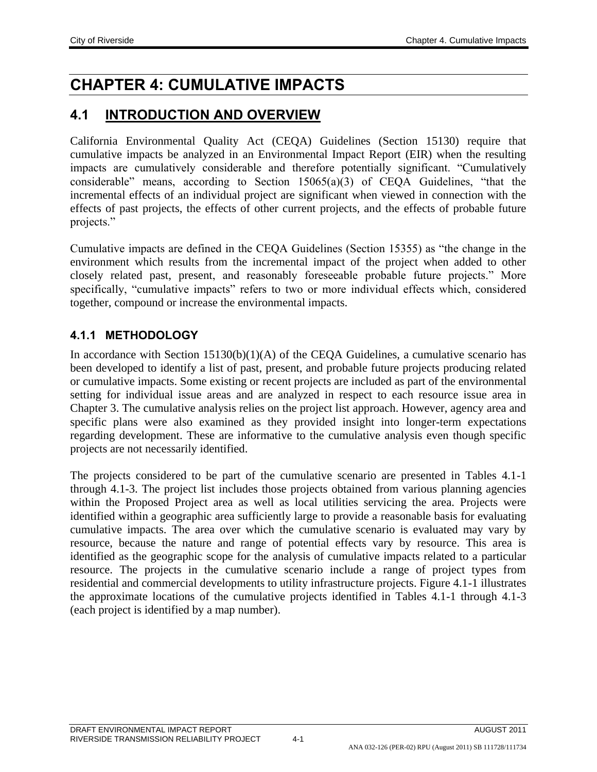# **CHAPTER 4: CUMULATIVE IMPACTS**

## **4.1 INTRODUCTION AND OVERVIEW**

California Environmental Quality Act (CEQA) Guidelines (Section 15130) require that cumulative impacts be analyzed in an Environmental Impact Report (EIR) when the resulting impacts are cumulatively considerable and therefore potentially significant. "Cumulatively considerable" means, according to Section 15065(a)(3) of CEQA Guidelines, "that the incremental effects of an individual project are significant when viewed in connection with the effects of past projects, the effects of other current projects, and the effects of probable future projects."

Cumulative impacts are defined in the CEQA Guidelines (Section 15355) as "the change in the environment which results from the incremental impact of the project when added to other closely related past, present, and reasonably foreseeable probable future projects." More specifically, "cumulative impacts" refers to two or more individual effects which, considered together, compound or increase the environmental impacts.

#### **4.1.1 METHODOLOGY**

In accordance with Section  $15130(b)(1)(A)$  of the CEOA Guidelines, a cumulative scenario has been developed to identify a list of past, present, and probable future projects producing related or cumulative impacts. Some existing or recent projects are included as part of the environmental setting for individual issue areas and are analyzed in respect to each resource issue area in Chapter 3. The cumulative analysis relies on the project list approach. However, agency area and specific plans were also examined as they provided insight into longer-term expectations regarding development. These are informative to the cumulative analysis even though specific projects are not necessarily identified.

The projects considered to be part of the cumulative scenario are presented in Tables 4.1-1 through 4.1-3. The project list includes those projects obtained from various planning agencies within the Proposed Project area as well as local utilities servicing the area. Projects were identified within a geographic area sufficiently large to provide a reasonable basis for evaluating cumulative impacts. The area over which the cumulative scenario is evaluated may vary by resource, because the nature and range of potential effects vary by resource. This area is identified as the geographic scope for the analysis of cumulative impacts related to a particular resource. The projects in the cumulative scenario include a range of project types from residential and commercial developments to utility infrastructure projects. Figure 4.1-1 illustrates the approximate locations of the cumulative projects identified in Tables 4.1-1 through 4.1-3 (each project is identified by a map number).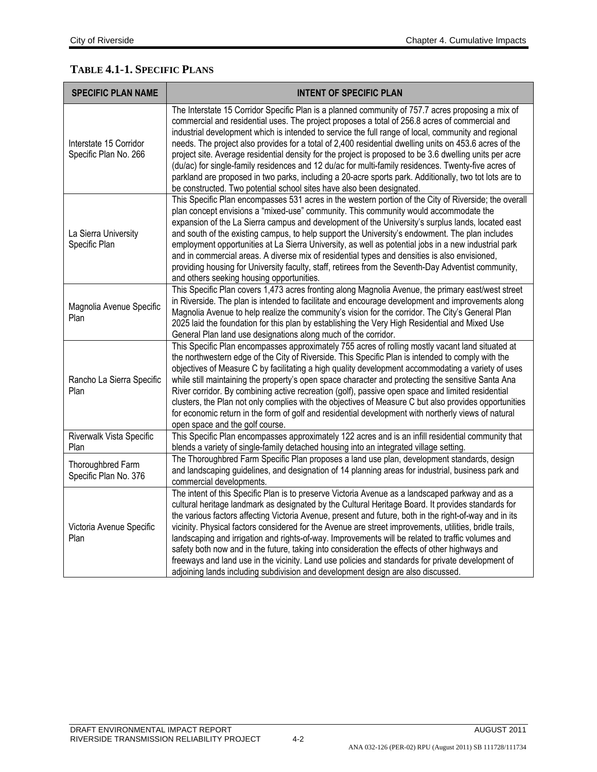#### **TABLE 4.1-1. SPECIFIC PLANS**

| <b>SPECIFIC PLAN NAME</b>                       | <b>INTENT OF SPECIFIC PLAN</b>                                                                                                                                                                                                                                                                                                                                                                                                                                                                                                                                                                                                                                                                                                                                                                                              |
|-------------------------------------------------|-----------------------------------------------------------------------------------------------------------------------------------------------------------------------------------------------------------------------------------------------------------------------------------------------------------------------------------------------------------------------------------------------------------------------------------------------------------------------------------------------------------------------------------------------------------------------------------------------------------------------------------------------------------------------------------------------------------------------------------------------------------------------------------------------------------------------------|
| Interstate 15 Corridor<br>Specific Plan No. 266 | The Interstate 15 Corridor Specific Plan is a planned community of 757.7 acres proposing a mix of<br>commercial and residential uses. The project proposes a total of 256.8 acres of commercial and<br>industrial development which is intended to service the full range of local, community and regional<br>needs. The project also provides for a total of 2,400 residential dwelling units on 453.6 acres of the<br>project site. Average residential density for the project is proposed to be 3.6 dwelling units per acre<br>(du/ac) for single-family residences and 12 du/ac for multi-family residences. Twenty-five acres of<br>parkland are proposed in two parks, including a 20-acre sports park. Additionally, two tot lots are to<br>be constructed. Two potential school sites have also been designated.   |
| La Sierra University<br>Specific Plan           | This Specific Plan encompasses 531 acres in the western portion of the City of Riverside; the overall<br>plan concept envisions a "mixed-use" community. This community would accommodate the<br>expansion of the La Sierra campus and development of the University's surplus lands, located east<br>and south of the existing campus, to help support the University's endowment. The plan includes<br>employment opportunities at La Sierra University, as well as potential jobs in a new industrial park<br>and in commercial areas. A diverse mix of residential types and densities is also envisioned,<br>providing housing for University faculty, staff, retirees from the Seventh-Day Adventist community,<br>and others seeking housing opportunities.                                                          |
| Magnolia Avenue Specific<br>Plan                | This Specific Plan covers 1,473 acres fronting along Magnolia Avenue, the primary east/west street<br>in Riverside. The plan is intended to facilitate and encourage development and improvements along<br>Magnolia Avenue to help realize the community's vision for the corridor. The City's General Plan<br>2025 laid the foundation for this plan by establishing the Very High Residential and Mixed Use<br>General Plan land use designations along much of the corridor.                                                                                                                                                                                                                                                                                                                                             |
| Rancho La Sierra Specific<br>Plan               | This Specific Plan encompasses approximately 755 acres of rolling mostly vacant land situated at<br>the northwestern edge of the City of Riverside. This Specific Plan is intended to comply with the<br>objectives of Measure C by facilitating a high quality development accommodating a variety of uses<br>while still maintaining the property's open space character and protecting the sensitive Santa Ana<br>River corridor. By combining active recreation (golf), passive open space and limited residential<br>clusters, the Plan not only complies with the objectives of Measure C but also provides opportunities<br>for economic return in the form of golf and residential development with northerly views of natural<br>open space and the golf course.                                                   |
| Riverwalk Vista Specific<br>Plan                | This Specific Plan encompasses approximately 122 acres and is an infill residential community that<br>blends a variety of single-family detached housing into an integrated village setting.                                                                                                                                                                                                                                                                                                                                                                                                                                                                                                                                                                                                                                |
| Thoroughbred Farm<br>Specific Plan No. 376      | The Thoroughbred Farm Specific Plan proposes a land use plan, development standards, design<br>and landscaping guidelines, and designation of 14 planning areas for industrial, business park and<br>commercial developments.                                                                                                                                                                                                                                                                                                                                                                                                                                                                                                                                                                                               |
| Victoria Avenue Specific<br>Plan                | The intent of this Specific Plan is to preserve Victoria Avenue as a landscaped parkway and as a<br>cultural heritage landmark as designated by the Cultural Heritage Board. It provides standards for<br>the various factors affecting Victoria Avenue, present and future, both in the right-of-way and in its<br>vicinity. Physical factors considered for the Avenue are street improvements, utilities, bridle trails,<br>landscaping and irrigation and rights-of-way. Improvements will be related to traffic volumes and<br>safety both now and in the future, taking into consideration the effects of other highways and<br>freeways and land use in the vicinity. Land use policies and standards for private development of<br>adjoining lands including subdivision and development design are also discussed. |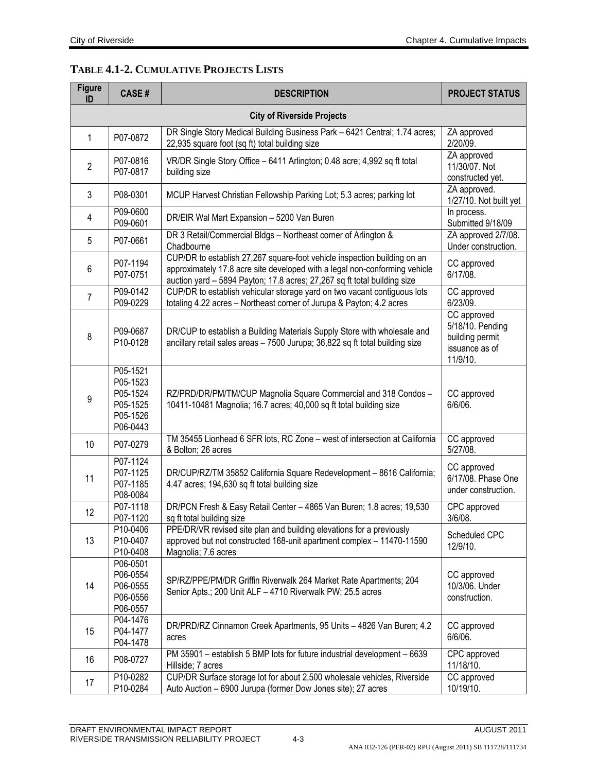#### **TABLE 4.1-2. CUMULATIVE PROJECTS LISTS**

| <b>Figure</b><br>ID               | CASE#                                                                | <b>DESCRIPTION</b>                                                                                                                                                                                                                 | <b>PROJECT STATUS</b>                                                            |
|-----------------------------------|----------------------------------------------------------------------|------------------------------------------------------------------------------------------------------------------------------------------------------------------------------------------------------------------------------------|----------------------------------------------------------------------------------|
| <b>City of Riverside Projects</b> |                                                                      |                                                                                                                                                                                                                                    |                                                                                  |
| 1                                 | P07-0872                                                             | DR Single Story Medical Building Business Park - 6421 Central; 1.74 acres;<br>22,935 square foot (sq ft) total building size                                                                                                       | ZA approved<br>2/20/09.                                                          |
| $\overline{2}$                    | P07-0816<br>P07-0817                                                 | VR/DR Single Story Office - 6411 Arlington; 0.48 acre; 4,992 sq ft total<br>building size                                                                                                                                          | ZA approved<br>11/30/07. Not<br>constructed yet.                                 |
| 3                                 | P08-0301                                                             | MCUP Harvest Christian Fellowship Parking Lot; 5.3 acres; parking lot                                                                                                                                                              | ZA approved.<br>1/27/10. Not built yet                                           |
| 4                                 | P09-0600<br>P09-0601                                                 | DR/EIR Wal Mart Expansion - 5200 Van Buren                                                                                                                                                                                         | In process.<br>Submitted 9/18/09                                                 |
| 5                                 | P07-0661                                                             | DR 3 Retail/Commercial Bldgs - Northeast corner of Arlington &<br>Chadbourne                                                                                                                                                       | ZA approved 2/7/08.<br>Under construction.                                       |
| 6                                 | P07-1194<br>P07-0751                                                 | CUP/DR to establish 27,267 square-foot vehicle inspection building on an<br>approximately 17.8 acre site developed with a legal non-conforming vehicle<br>auction yard - 5894 Payton; 17.8 acres; 27,267 sq ft total building size | CC approved<br>6/17/08.                                                          |
| $\overline{7}$                    | P09-0142<br>P09-0229                                                 | CUP/DR to establish vehicular storage yard on two vacant contiguous lots<br>totaling 4.22 acres - Northeast corner of Jurupa & Payton; 4.2 acres                                                                                   | CC approved<br>6/23/09.                                                          |
| 8                                 | P09-0687<br>P10-0128                                                 | DR/CUP to establish a Building Materials Supply Store with wholesale and<br>ancillary retail sales areas - 7500 Jurupa; 36,822 sq ft total building size                                                                           | CC approved<br>5/18/10. Pending<br>building permit<br>issuance as of<br>11/9/10. |
| 9                                 | P05-1521<br>P05-1523<br>P05-1524<br>P05-1525<br>P05-1526<br>P06-0443 | RZ/PRD/DR/PM/TM/CUP Magnolia Square Commercial and 318 Condos -<br>10411-10481 Magnolia; 16.7 acres; 40,000 sq ft total building size                                                                                              | CC approved<br>6/6/06.                                                           |
| 10                                | P07-0279                                                             | TM 35455 Lionhead 6 SFR lots, RC Zone - west of intersection at California<br>& Bolton; 26 acres                                                                                                                                   | CC approved<br>5/27/08.                                                          |
| 11                                | P07-1124<br>P07-1125<br>P07-1185<br>P08-0084                         | DR/CUP/RZ/TM 35852 California Square Redevelopment - 8616 California;<br>4.47 acres; 194,630 sq ft total building size                                                                                                             | CC approved<br>6/17/08. Phase One<br>under construction.                         |
| 12                                | P07-1118<br>P07-1120                                                 | DR/PCN Fresh & Easy Retail Center - 4865 Van Buren; 1.8 acres; 19,530<br>sq ft total building size                                                                                                                                 | CPC approved<br>3/6/08.                                                          |
| 13                                | P10-0406<br>P10-0407<br>P10-0408                                     | PPE/DR/VR revised site plan and building elevations for a previously<br>approved but not constructed 168-unit apartment complex - 11470-11590<br>Magnolia; 7.6 acres                                                               | Scheduled CPC<br>12/9/10.                                                        |
| 14                                | P06-0501<br>P06-0554<br>P06-0555<br>P06-0556<br>P06-0557             | SP/RZ/PPE/PM/DR Griffin Riverwalk 264 Market Rate Apartments; 204<br>Senior Apts.; 200 Unit ALF - 4710 Riverwalk PW; 25.5 acres                                                                                                    | CC approved<br>10/3/06. Under<br>construction.                                   |
| 15                                | P04-1476<br>P04-1477<br>P04-1478                                     | DR/PRD/RZ Cinnamon Creek Apartments, 95 Units - 4826 Van Buren; 4.2<br>acres                                                                                                                                                       | CC approved<br>$6/6/06$ .                                                        |
| 16                                | P08-0727                                                             | PM 35901 - establish 5 BMP lots for future industrial development - 6639<br>Hillside; 7 acres                                                                                                                                      | CPC approved<br>11/18/10.                                                        |
| 17                                | P10-0282<br>P10-0284                                                 | CUP/DR Surface storage lot for about 2,500 wholesale vehicles, Riverside<br>Auto Auction - 6900 Jurupa (former Dow Jones site); 27 acres                                                                                           | CC approved<br>10/19/10.                                                         |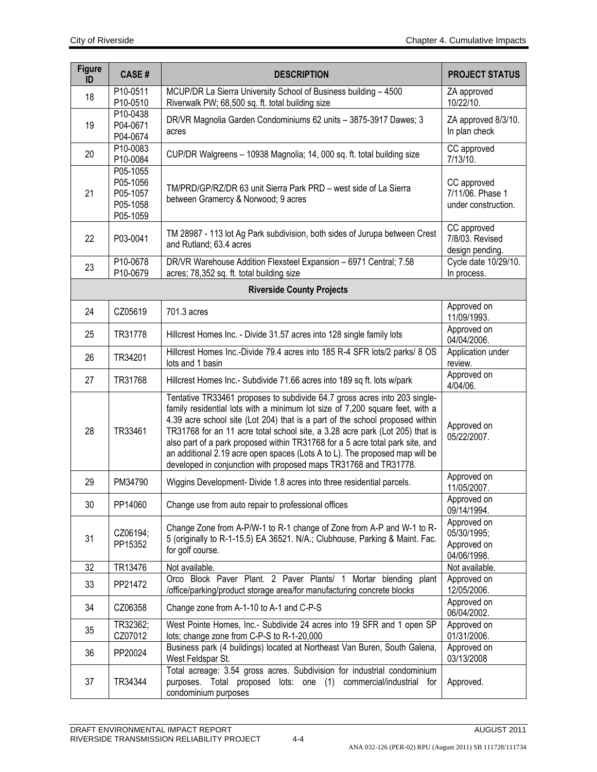| <b>Figure</b><br>ID | CASE#                                                    | <b>DESCRIPTION</b>                                                                                                                                                                                                                                                                                                                                                                                                                                                                                                                                            | <b>PROJECT STATUS</b>                                    |
|---------------------|----------------------------------------------------------|---------------------------------------------------------------------------------------------------------------------------------------------------------------------------------------------------------------------------------------------------------------------------------------------------------------------------------------------------------------------------------------------------------------------------------------------------------------------------------------------------------------------------------------------------------------|----------------------------------------------------------|
| 18                  | P10-0511<br>P10-0510                                     | MCUP/DR La Sierra University School of Business building - 4500<br>Riverwalk PW; 68,500 sq. ft. total building size                                                                                                                                                                                                                                                                                                                                                                                                                                           | ZA approved<br>10/22/10.                                 |
| 19                  | P10-0438<br>P04-0671<br>P04-0674                         | DR/VR Magnolia Garden Condominiums 62 units - 3875-3917 Dawes; 3<br>acres                                                                                                                                                                                                                                                                                                                                                                                                                                                                                     | ZA approved 8/3/10.<br>In plan check                     |
| 20                  | P10-0083<br>P10-0084                                     | CUP/DR Walgreens - 10938 Magnolia; 14, 000 sq. ft. total building size                                                                                                                                                                                                                                                                                                                                                                                                                                                                                        | CC approved<br>7/13/10.                                  |
| 21                  | P05-1055<br>P05-1056<br>P05-1057<br>P05-1058<br>P05-1059 | TM/PRD/GP/RZ/DR 63 unit Sierra Park PRD - west side of La Sierra<br>between Gramercy & Norwood; 9 acres                                                                                                                                                                                                                                                                                                                                                                                                                                                       | CC approved<br>7/11/06. Phase 1<br>under construction.   |
| 22                  | P03-0041                                                 | TM 28987 - 113 lot Ag Park subdivision, both sides of Jurupa between Crest<br>and Rutland; 63.4 acres                                                                                                                                                                                                                                                                                                                                                                                                                                                         | CC approved<br>7/8/03. Revised<br>design pending.        |
| 23                  | P10-0678<br>P10-0679                                     | DR/VR Warehouse Addition Flexsteel Expansion - 6971 Central; 7.58<br>acres; 78,352 sq. ft. total building size                                                                                                                                                                                                                                                                                                                                                                                                                                                | Cycle date 10/29/10.<br>In process.                      |
|                     |                                                          | <b>Riverside County Projects</b>                                                                                                                                                                                                                                                                                                                                                                                                                                                                                                                              |                                                          |
| 24                  | CZ05619                                                  | 701.3 acres                                                                                                                                                                                                                                                                                                                                                                                                                                                                                                                                                   | Approved on<br>11/09/1993.                               |
| 25                  | TR31778                                                  | Hillcrest Homes Inc. - Divide 31.57 acres into 128 single family lots                                                                                                                                                                                                                                                                                                                                                                                                                                                                                         | Approved on<br>04/04/2006.                               |
| 26                  | TR34201                                                  | Hillcrest Homes Inc.-Divide 79.4 acres into 185 R-4 SFR lots/2 parks/ 8 OS<br>lots and 1 basin                                                                                                                                                                                                                                                                                                                                                                                                                                                                | Application under<br>review.                             |
| 27                  | TR31768                                                  | Hillcrest Homes Inc.- Subdivide 71.66 acres into 189 sq ft. lots w/park                                                                                                                                                                                                                                                                                                                                                                                                                                                                                       | Approved on<br>4/04/06.                                  |
| 28                  | TR33461                                                  | Tentative TR33461 proposes to subdivide 64.7 gross acres into 203 single-<br>family residential lots with a minimum lot size of 7,200 square feet, with a<br>4.39 acre school site (Lot 204) that is a part of the school proposed within<br>TR31768 for an 11 acre total school site, a 3.28 acre park (Lot 205) that is<br>also part of a park proposed within TR31768 for a 5 acre total park site, and<br>an additional 2.19 acre open spaces (Lots A to L). The proposed map will be<br>developed in conjunction with proposed maps TR31768 and TR31778. | Approved on<br>05/22/2007.                               |
| 29                  | PM34790                                                  | Wiggins Development- Divide 1.8 acres into three residential parcels.                                                                                                                                                                                                                                                                                                                                                                                                                                                                                         | Approved on<br>11/05/2007.                               |
| 30                  | PP14060                                                  | Change use from auto repair to professional offices                                                                                                                                                                                                                                                                                                                                                                                                                                                                                                           | Approved on<br>09/14/1994.                               |
| 31                  | CZ06194;<br>PP15352                                      | Change Zone from A-P/W-1 to R-1 change of Zone from A-P and W-1 to R-<br>5 (originally to R-1-15.5) EA 36521. N/A.; Clubhouse, Parking & Maint. Fac.<br>for golf course.                                                                                                                                                                                                                                                                                                                                                                                      | Approved on<br>05/30/1995;<br>Approved on<br>04/06/1998. |
| 32                  | TR13476                                                  | Not available.                                                                                                                                                                                                                                                                                                                                                                                                                                                                                                                                                | Not available.                                           |
| 33                  | PP21472                                                  | Orco Block Paver Plant. 2 Paver Plants/ 1 Mortar blending plant<br>/office/parking/product storage area/for manufacturing concrete blocks                                                                                                                                                                                                                                                                                                                                                                                                                     | Approved on<br>12/05/2006.                               |
| 34                  | CZ06358                                                  | Change zone from A-1-10 to A-1 and C-P-S                                                                                                                                                                                                                                                                                                                                                                                                                                                                                                                      | Approved on<br>06/04/2002.                               |
| 35                  | TR32362;<br>CZ07012                                      | West Pointe Homes, Inc.- Subdivide 24 acres into 19 SFR and 1 open SP<br>lots; change zone from C-P-S to R-1-20,000                                                                                                                                                                                                                                                                                                                                                                                                                                           | Approved on<br>01/31/2006.                               |
| 36                  | PP20024                                                  | Business park (4 buildings) located at Northeast Van Buren, South Galena,<br>West Feldspar St.                                                                                                                                                                                                                                                                                                                                                                                                                                                                | Approved on<br>03/13/2008                                |
| 37                  | TR34344                                                  | Total acreage: 3.54 gross acres. Subdivision for industrial condominium<br>purposes. Total proposed lots: one (1) commercial/industrial for<br>condominium purposes                                                                                                                                                                                                                                                                                                                                                                                           | Approved.                                                |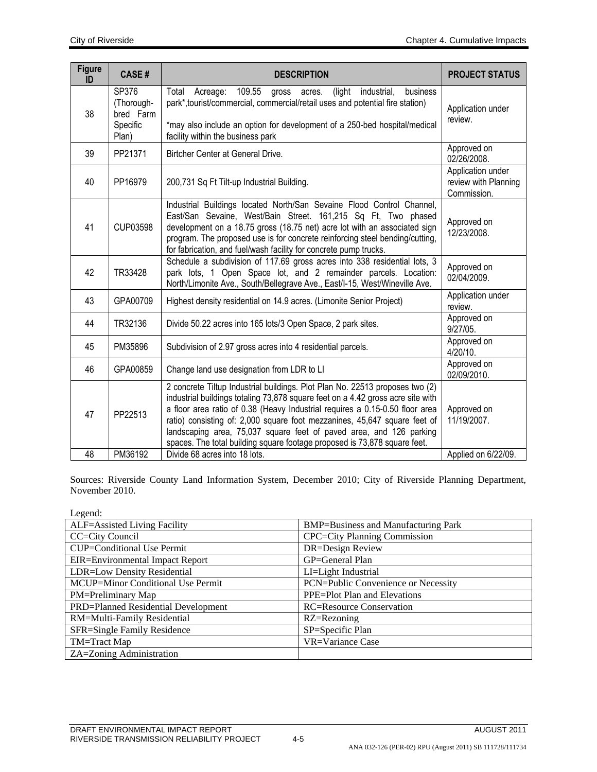| <b>Figure</b><br>ID | <b>CASE#</b>                                          | <b>DESCRIPTION</b>                                                                                                                                                                                                                                                                                                                                                                                                                                                               | <b>PROJECT STATUS</b>                                    |
|---------------------|-------------------------------------------------------|----------------------------------------------------------------------------------------------------------------------------------------------------------------------------------------------------------------------------------------------------------------------------------------------------------------------------------------------------------------------------------------------------------------------------------------------------------------------------------|----------------------------------------------------------|
| 38                  | SP376<br>(Thorough-<br>bred Farm<br>Specific<br>Plan) | Acreage: 109.55<br>industrial,<br>Total<br>gross acres.<br>(light)<br>business<br>park*,tourist/commercial, commercial/retail uses and potential fire station)<br>*may also include an option for development of a 250-bed hospital/medical<br>facility within the business park                                                                                                                                                                                                 | Application under<br>review.                             |
| 39                  | PP21371                                               | Birtcher Center at General Drive.                                                                                                                                                                                                                                                                                                                                                                                                                                                | Approved on<br>02/26/2008.                               |
| 40                  | PP16979                                               | 200,731 Sq Ft Tilt-up Industrial Building.                                                                                                                                                                                                                                                                                                                                                                                                                                       | Application under<br>review with Planning<br>Commission. |
| 41                  | CUP03598                                              | Industrial Buildings located North/San Sevaine Flood Control Channel,<br>East/San Sevaine, West/Bain Street. 161,215 Sq Ft, Two phased<br>development on a 18.75 gross (18.75 net) acre lot with an associated sign<br>program. The proposed use is for concrete reinforcing steel bending/cutting,<br>for fabrication, and fuel/wash facility for concrete pump trucks.                                                                                                         | Approved on<br>12/23/2008.                               |
| 42                  | TR33428                                               | Schedule a subdivision of 117.69 gross acres into 338 residential lots, 3<br>park lots, 1 Open Space lot, and 2 remainder parcels. Location:<br>North/Limonite Ave., South/Bellegrave Ave., East/I-15, West/Wineville Ave.                                                                                                                                                                                                                                                       | Approved on<br>02/04/2009.                               |
| 43                  | GPA00709                                              | Highest density residential on 14.9 acres. (Limonite Senior Project)                                                                                                                                                                                                                                                                                                                                                                                                             | Application under<br>review.                             |
| 44                  | TR32136                                               | Divide 50.22 acres into 165 lots/3 Open Space, 2 park sites.                                                                                                                                                                                                                                                                                                                                                                                                                     | Approved on<br>9/27/05.                                  |
| 45                  | PM35896                                               | Subdivision of 2.97 gross acres into 4 residential parcels.                                                                                                                                                                                                                                                                                                                                                                                                                      | Approved on<br>4/20/10.                                  |
| 46                  | GPA00859                                              | Change land use designation from LDR to LI                                                                                                                                                                                                                                                                                                                                                                                                                                       | Approved on<br>02/09/2010.                               |
| 47                  | PP22513                                               | 2 concrete Tiltup Industrial buildings. Plot Plan No. 22513 proposes two (2)<br>industrial buildings totaling 73,878 square feet on a 4.42 gross acre site with<br>a floor area ratio of 0.38 (Heavy Industrial requires a 0.15-0.50 floor area<br>ratio) consisting of: 2,000 square foot mezzanines, 45,647 square feet of<br>landscaping area, 75,037 square feet of paved area, and 126 parking<br>spaces. The total building square footage proposed is 73,878 square feet. | Approved on<br>11/19/2007.                               |
| 48                  | PM36192                                               | Divide 68 acres into 18 lots.                                                                                                                                                                                                                                                                                                                                                                                                                                                    | Applied on 6/22/09.                                      |

Sources: Riverside County Land Information System, December 2010; City of Riverside Planning Department, November 2010.

| Legend:                             |                                            |
|-------------------------------------|--------------------------------------------|
| ALF=Assisted Living Facility        | <b>BMP=Business and Manufacturing Park</b> |
| CC=City Council                     | <b>CPC=City Planning Commission</b>        |
| <b>CUP=Conditional Use Permit</b>   | DR=Design Review                           |
| EIR=Environmental Impact Report     | GP=General Plan                            |
| <b>LDR=Low Density Residential</b>  | LI=Light Industrial                        |
| MCUP=Minor Conditional Use Permit   | PCN=Public Convenience or Necessity        |
| PM=Preliminary Map                  | PPE=Plot Plan and Elevations               |
| PRD=Planned Residential Development | <b>RC=Resource Conservation</b>            |
| RM=Multi-Family Residential         | $RZ = Rezoning$                            |
| SFR=Single Family Residence         | SP=Specific Plan                           |
| TM=Tract Map                        | VR=Variance Case                           |
| ZA=Zoning Administration            |                                            |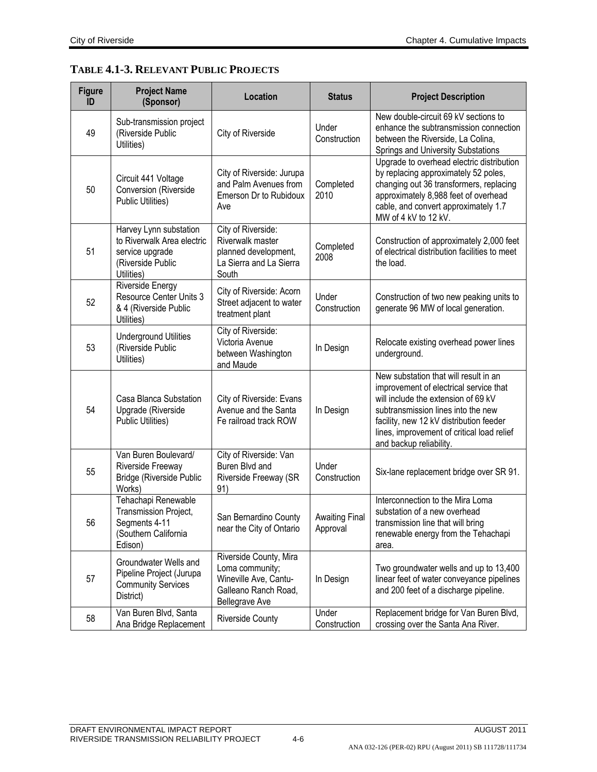#### **TABLE 4.1-3. RELEVANT PUBLIC PROJECTS**

| <b>Figure</b><br>ID | <b>Project Name</b><br>(Sponsor)                                                                           | Location                                                                                                            | <b>Status</b>                     | <b>Project Description</b>                                                                                                                                                                                                                                                       |
|---------------------|------------------------------------------------------------------------------------------------------------|---------------------------------------------------------------------------------------------------------------------|-----------------------------------|----------------------------------------------------------------------------------------------------------------------------------------------------------------------------------------------------------------------------------------------------------------------------------|
| 49                  | Sub-transmission project<br>(Riverside Public<br>Utilities)                                                | City of Riverside                                                                                                   | Under<br>Construction             | New double-circuit 69 kV sections to<br>enhance the subtransmission connection<br>between the Riverside, La Colina,<br>Springs and University Substations                                                                                                                        |
| 50                  | Circuit 441 Voltage<br>Conversion (Riverside<br>Public Utilities)                                          | City of Riverside: Jurupa<br>and Palm Avenues from<br>Emerson Dr to Rubidoux<br>Ave                                 | Completed<br>2010                 | Upgrade to overhead electric distribution<br>by replacing approximately 52 poles,<br>changing out 36 transformers, replacing<br>approximately 8,988 feet of overhead<br>cable, and convert approximately 1.7<br>MW of 4 kV to 12 kV.                                             |
| 51                  | Harvey Lynn substation<br>to Riverwalk Area electric<br>service upgrade<br>(Riverside Public<br>Utilities) | City of Riverside:<br>Riverwalk master<br>planned development,<br>La Sierra and La Sierra<br>South                  | Completed<br>2008                 | Construction of approximately 2,000 feet<br>of electrical distribution facilities to meet<br>the load.                                                                                                                                                                           |
| 52                  | Riverside Energy<br>Resource Center Units 3<br>& 4 (Riverside Public<br>Utilities)                         | City of Riverside: Acorn<br>Street adjacent to water<br>treatment plant                                             | Under<br>Construction             | Construction of two new peaking units to<br>generate 96 MW of local generation.                                                                                                                                                                                                  |
| 53                  | <b>Underground Utilities</b><br>(Riverside Public<br>Utilities)                                            | City of Riverside:<br>Victoria Avenue<br>between Washington<br>and Maude                                            | In Design                         | Relocate existing overhead power lines<br>underground.                                                                                                                                                                                                                           |
| 54                  | Casa Blanca Substation<br>Upgrade (Riverside<br>Public Utilities)                                          | City of Riverside: Evans<br>Avenue and the Santa<br>Fe railroad track ROW                                           | In Design                         | New substation that will result in an<br>improvement of electrical service that<br>will include the extension of 69 kV<br>subtransmission lines into the new<br>facility, new 12 kV distribution feeder<br>lines, improvement of critical load relief<br>and backup reliability. |
| 55                  | Van Buren Boulevard/<br>Riverside Freeway<br><b>Bridge (Riverside Public</b><br>Works)                     | City of Riverside: Van<br>Buren Blvd and<br>Riverside Freeway (SR<br>91)                                            | Under<br>Construction             | Six-lane replacement bridge over SR 91.                                                                                                                                                                                                                                          |
| 56                  | Tehachapi Renewable<br>Transmission Project,<br>Segments 4-11<br>(Southern California<br>Edison)           | San Bernardino County<br>near the City of Ontario                                                                   | <b>Awaiting Final</b><br>Approval | Interconnection to the Mira Loma<br>substation of a new overhead<br>transmission line that will bring<br>renewable energy from the Tehachapi<br>area.                                                                                                                            |
| 57                  | Groundwater Wells and<br>Pipeline Project (Jurupa<br><b>Community Services</b><br>District)                | Riverside County, Mira<br>Loma community;<br>Wineville Ave, Cantu-<br>Galleano Ranch Road,<br><b>Bellegrave Ave</b> | In Design                         | Two groundwater wells and up to 13,400<br>linear feet of water conveyance pipelines<br>and 200 feet of a discharge pipeline.                                                                                                                                                     |
| 58                  | Van Buren Blvd, Santa<br>Ana Bridge Replacement                                                            | <b>Riverside County</b>                                                                                             | Under<br>Construction             | Replacement bridge for Van Buren Blvd,<br>crossing over the Santa Ana River.                                                                                                                                                                                                     |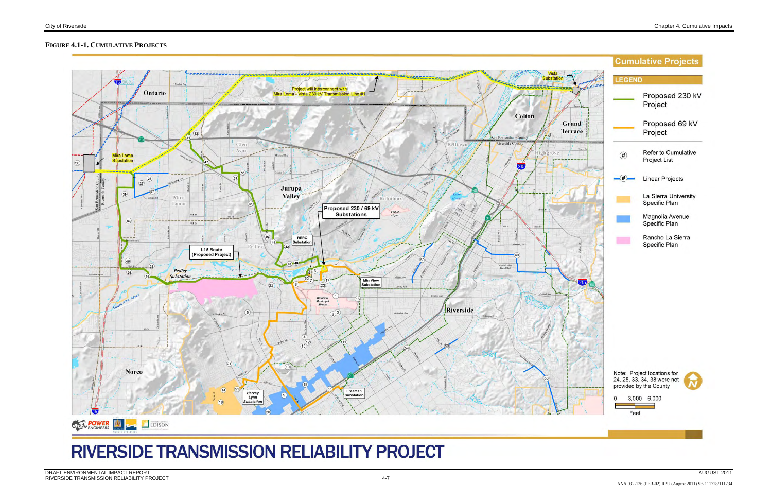# **Cumulative Projects**

#### **FIGURE 4.1-1. CUMULATIVE PROJECTS**



# **RIVERSIDE TRANSMISSION RELIABILITY PROJECT**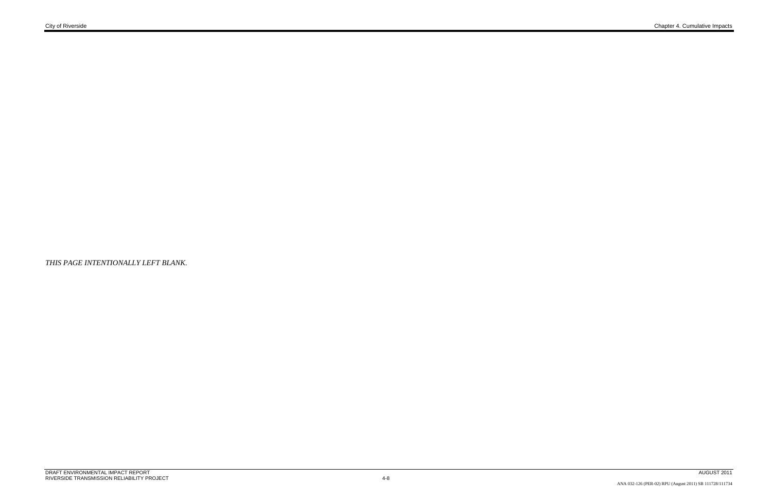*THIS PAGE INTENTIONALLY LEFT BLANK.*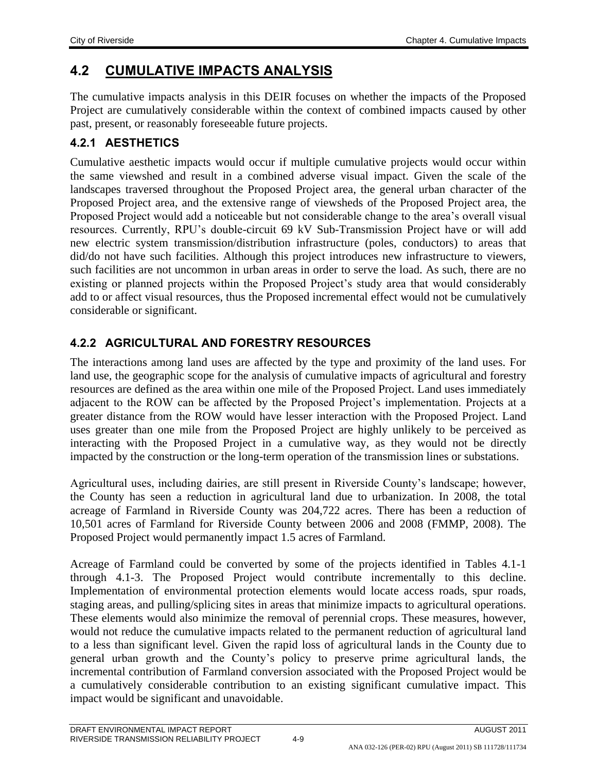# **4.2 CUMULATIVE IMPACTS ANALYSIS**

The cumulative impacts analysis in this DEIR focuses on whether the impacts of the Proposed Project are cumulatively considerable within the context of combined impacts caused by other past, present, or reasonably foreseeable future projects.

### **4.2.1 AESTHETICS**

Cumulative aesthetic impacts would occur if multiple cumulative projects would occur within the same viewshed and result in a combined adverse visual impact. Given the scale of the landscapes traversed throughout the Proposed Project area, the general urban character of the Proposed Project area, and the extensive range of viewsheds of the Proposed Project area, the Proposed Project would add a noticeable but not considerable change to the area's overall visual resources. Currently, RPU's double-circuit 69 kV Sub-Transmission Project have or will add new electric system transmission/distribution infrastructure (poles, conductors) to areas that did/do not have such facilities. Although this project introduces new infrastructure to viewers, such facilities are not uncommon in urban areas in order to serve the load. As such, there are no existing or planned projects within the Proposed Project's study area that would considerably add to or affect visual resources, thus the Proposed incremental effect would not be cumulatively considerable or significant.

# **4.2.2 AGRICULTURAL AND FORESTRY RESOURCES**

The interactions among land uses are affected by the type and proximity of the land uses. For land use, the geographic scope for the analysis of cumulative impacts of agricultural and forestry resources are defined as the area within one mile of the Proposed Project. Land uses immediately adjacent to the ROW can be affected by the Proposed Project's implementation. Projects at a greater distance from the ROW would have lesser interaction with the Proposed Project. Land uses greater than one mile from the Proposed Project are highly unlikely to be perceived as interacting with the Proposed Project in a cumulative way, as they would not be directly impacted by the construction or the long-term operation of the transmission lines or substations.

Agricultural uses, including dairies, are still present in Riverside County's landscape; however, the County has seen a reduction in agricultural land due to urbanization. In 2008, the total acreage of Farmland in Riverside County was 204,722 acres. There has been a reduction of 10,501 acres of Farmland for Riverside County between 2006 and 2008 (FMMP, 2008). The Proposed Project would permanently impact 1.5 acres of Farmland.

Acreage of Farmland could be converted by some of the projects identified in Tables 4.1-1 through 4.1-3. The Proposed Project would contribute incrementally to this decline. Implementation of environmental protection elements would locate access roads, spur roads, staging areas, and pulling/splicing sites in areas that minimize impacts to agricultural operations. These elements would also minimize the removal of perennial crops. These measures, however, would not reduce the cumulative impacts related to the permanent reduction of agricultural land to a less than significant level. Given the rapid loss of agricultural lands in the County due to general urban growth and the County's policy to preserve prime agricultural lands, the incremental contribution of Farmland conversion associated with the Proposed Project would be a cumulatively considerable contribution to an existing significant cumulative impact. This impact would be significant and unavoidable.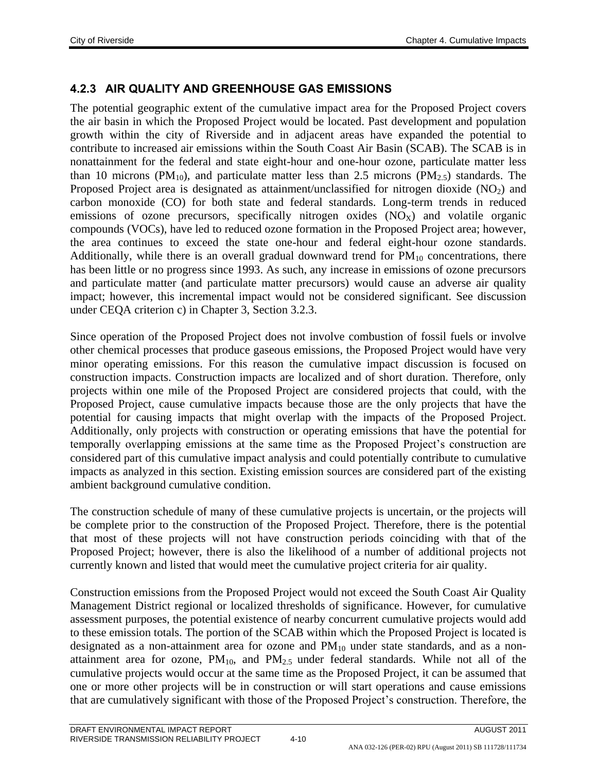#### **4.2.3 AIR QUALITY AND GREENHOUSE GAS EMISSIONS**

The potential geographic extent of the cumulative impact area for the Proposed Project covers the air basin in which the Proposed Project would be located. Past development and population growth within the city of Riverside and in adjacent areas have expanded the potential to contribute to increased air emissions within the South Coast Air Basin (SCAB). The SCAB is in nonattainment for the federal and state eight-hour and one-hour ozone, particulate matter less than 10 microns (PM<sub>10</sub>), and particulate matter less than 2.5 microns (PM<sub>2.5</sub>) standards. The Proposed Project area is designated as attainment/unclassified for nitrogen dioxide  $(NO<sub>2</sub>)$  and carbon monoxide (CO) for both state and federal standards. Long-term trends in reduced emissions of ozone precursors, specifically nitrogen oxides  $(NO<sub>X</sub>)$  and volatile organic compounds (VOCs), have led to reduced ozone formation in the Proposed Project area; however, the area continues to exceed the state one-hour and federal eight-hour ozone standards. Additionally, while there is an overall gradual downward trend for  $PM_{10}$  concentrations, there has been little or no progress since 1993. As such, any increase in emissions of ozone precursors and particulate matter (and particulate matter precursors) would cause an adverse air quality impact; however, this incremental impact would not be considered significant. See discussion under CEQA criterion c) in Chapter 3, Section 3.2.3.

Since operation of the Proposed Project does not involve combustion of fossil fuels or involve other chemical processes that produce gaseous emissions, the Proposed Project would have very minor operating emissions. For this reason the cumulative impact discussion is focused on construction impacts. Construction impacts are localized and of short duration. Therefore, only projects within one mile of the Proposed Project are considered projects that could, with the Proposed Project, cause cumulative impacts because those are the only projects that have the potential for causing impacts that might overlap with the impacts of the Proposed Project. Additionally, only projects with construction or operating emissions that have the potential for temporally overlapping emissions at the same time as the Proposed Project's construction are considered part of this cumulative impact analysis and could potentially contribute to cumulative impacts as analyzed in this section. Existing emission sources are considered part of the existing ambient background cumulative condition.

The construction schedule of many of these cumulative projects is uncertain, or the projects will be complete prior to the construction of the Proposed Project. Therefore, there is the potential that most of these projects will not have construction periods coinciding with that of the Proposed Project; however, there is also the likelihood of a number of additional projects not currently known and listed that would meet the cumulative project criteria for air quality.

Construction emissions from the Proposed Project would not exceed the South Coast Air Quality Management District regional or localized thresholds of significance. However, for cumulative assessment purposes, the potential existence of nearby concurrent cumulative projects would add to these emission totals. The portion of the SCAB within which the Proposed Project is located is designated as a non-attainment area for ozone and  $PM_{10}$  under state standards, and as a nonattainment area for ozone,  $PM_{10}$ , and  $PM_{2.5}$  under federal standards. While not all of the cumulative projects would occur at the same time as the Proposed Project, it can be assumed that one or more other projects will be in construction or will start operations and cause emissions that are cumulatively significant with those of the Proposed Project's construction. Therefore, the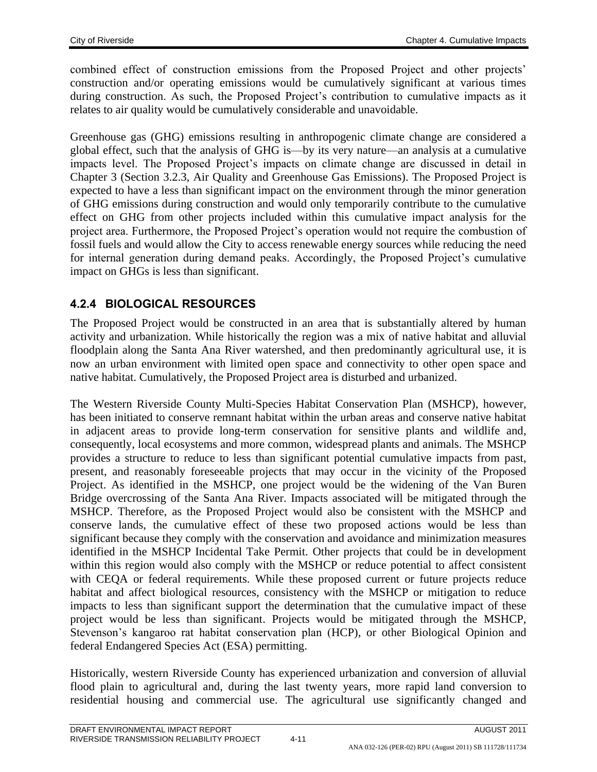combined effect of construction emissions from the Proposed Project and other projects' construction and/or operating emissions would be cumulatively significant at various times during construction. As such, the Proposed Project's contribution to cumulative impacts as it relates to air quality would be cumulatively considerable and unavoidable.

Greenhouse gas (GHG) emissions resulting in anthropogenic climate change are considered a global effect, such that the analysis of GHG is—by its very nature—an analysis at a cumulative impacts level. The Proposed Project's impacts on climate change are discussed in detail in Chapter 3 (Section 3.2.3, Air Quality and Greenhouse Gas Emissions). The Proposed Project is expected to have a less than significant impact on the environment through the minor generation of GHG emissions during construction and would only temporarily contribute to the cumulative effect on GHG from other projects included within this cumulative impact analysis for the project area. Furthermore, the Proposed Project's operation would not require the combustion of fossil fuels and would allow the City to access renewable energy sources while reducing the need for internal generation during demand peaks. Accordingly, the Proposed Project's cumulative impact on GHGs is less than significant.

#### **4.2.4 BIOLOGICAL RESOURCES**

The Proposed Project would be constructed in an area that is substantially altered by human activity and urbanization. While historically the region was a mix of native habitat and alluvial floodplain along the Santa Ana River watershed, and then predominantly agricultural use, it is now an urban environment with limited open space and connectivity to other open space and native habitat. Cumulatively, the Proposed Project area is disturbed and urbanized.

The Western Riverside County Multi-Species Habitat Conservation Plan (MSHCP), however, has been initiated to conserve remnant habitat within the urban areas and conserve native habitat in adjacent areas to provide long-term conservation for sensitive plants and wildlife and, consequently, local ecosystems and more common, widespread plants and animals. The MSHCP provides a structure to reduce to less than significant potential cumulative impacts from past, present, and reasonably foreseeable projects that may occur in the vicinity of the Proposed Project. As identified in the MSHCP, one project would be the widening of the Van Buren Bridge overcrossing of the Santa Ana River. Impacts associated will be mitigated through the MSHCP. Therefore, as the Proposed Project would also be consistent with the MSHCP and conserve lands, the cumulative effect of these two proposed actions would be less than significant because they comply with the conservation and avoidance and minimization measures identified in the MSHCP Incidental Take Permit. Other projects that could be in development within this region would also comply with the MSHCP or reduce potential to affect consistent with CEQA or federal requirements. While these proposed current or future projects reduce habitat and affect biological resources, consistency with the MSHCP or mitigation to reduce impacts to less than significant support the determination that the cumulative impact of these project would be less than significant. Projects would be mitigated through the MSHCP, Stevenson's kangaroo rat habitat conservation plan (HCP), or other Biological Opinion and federal Endangered Species Act (ESA) permitting.

Historically, western Riverside County has experienced urbanization and conversion of alluvial flood plain to agricultural and, during the last twenty years, more rapid land conversion to residential housing and commercial use. The agricultural use significantly changed and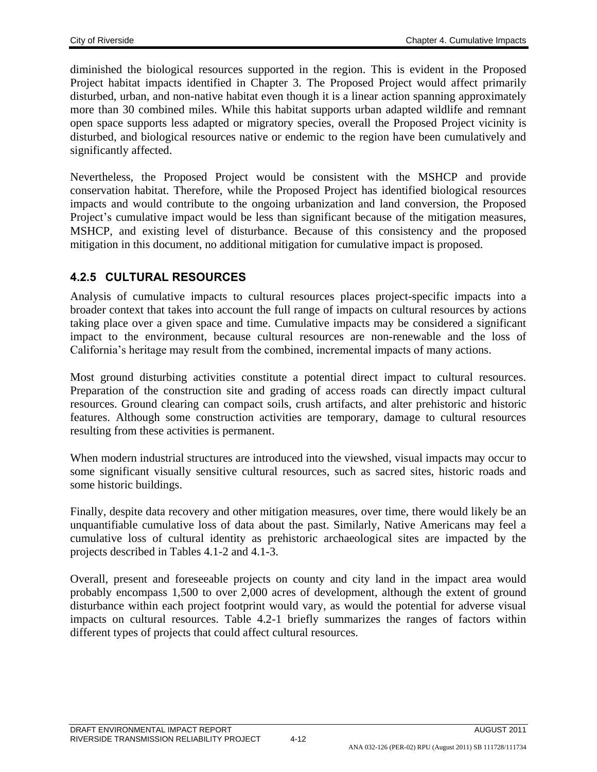diminished the biological resources supported in the region. This is evident in the Proposed Project habitat impacts identified in Chapter 3. The Proposed Project would affect primarily disturbed, urban, and non-native habitat even though it is a linear action spanning approximately more than 30 combined miles. While this habitat supports urban adapted wildlife and remnant open space supports less adapted or migratory species, overall the Proposed Project vicinity is disturbed, and biological resources native or endemic to the region have been cumulatively and significantly affected.

Nevertheless, the Proposed Project would be consistent with the MSHCP and provide conservation habitat. Therefore, while the Proposed Project has identified biological resources impacts and would contribute to the ongoing urbanization and land conversion, the Proposed Project's cumulative impact would be less than significant because of the mitigation measures, MSHCP, and existing level of disturbance. Because of this consistency and the proposed mitigation in this document, no additional mitigation for cumulative impact is proposed.

#### **4.2.5 CULTURAL RESOURCES**

Analysis of cumulative impacts to cultural resources places project-specific impacts into a broader context that takes into account the full range of impacts on cultural resources by actions taking place over a given space and time. Cumulative impacts may be considered a significant impact to the environment, because cultural resources are non-renewable and the loss of California's heritage may result from the combined, incremental impacts of many actions.

Most ground disturbing activities constitute a potential direct impact to cultural resources. Preparation of the construction site and grading of access roads can directly impact cultural resources. Ground clearing can compact soils, crush artifacts, and alter prehistoric and historic features. Although some construction activities are temporary, damage to cultural resources resulting from these activities is permanent.

When modern industrial structures are introduced into the viewshed, visual impacts may occur to some significant visually sensitive cultural resources, such as sacred sites, historic roads and some historic buildings.

Finally, despite data recovery and other mitigation measures, over time, there would likely be an unquantifiable cumulative loss of data about the past. Similarly, Native Americans may feel a cumulative loss of cultural identity as prehistoric archaeological sites are impacted by the projects described in Tables 4.1-2 and 4.1-3.

Overall, present and foreseeable projects on county and city land in the impact area would probably encompass 1,500 to over 2,000 acres of development, although the extent of ground disturbance within each project footprint would vary, as would the potential for adverse visual impacts on cultural resources. Table 4.2-1 briefly summarizes the ranges of factors within different types of projects that could affect cultural resources.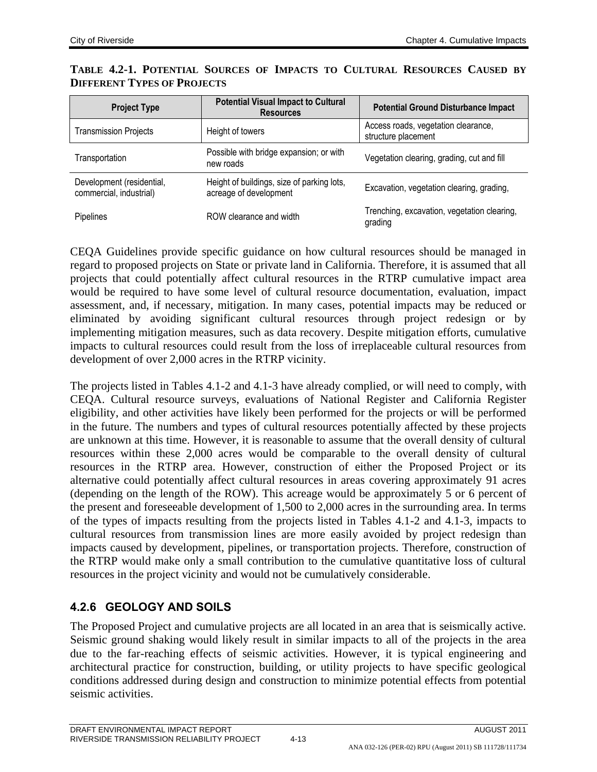| <b>Project Type</b>                                  | <b>Potential Visual Impact to Cultural</b><br><b>Resources</b>       | <b>Potential Ground Disturbance Impact</b>                 |
|------------------------------------------------------|----------------------------------------------------------------------|------------------------------------------------------------|
| <b>Transmission Projects</b>                         | Height of towers                                                     | Access roads, vegetation clearance,<br>structure placement |
| Transportation                                       | Possible with bridge expansion; or with<br>new roads                 | Vegetation clearing, grading, cut and fill                 |
| Development (residential,<br>commercial, industrial) | Height of buildings, size of parking lots,<br>acreage of development | Excavation, vegetation clearing, grading,                  |
| <b>Pipelines</b>                                     | ROW clearance and width                                              | Trenching, excavation, vegetation clearing,<br>grading     |

#### **TABLE 4.2-1. POTENTIAL SOURCES OF IMPACTS TO CULTURAL RESOURCES CAUSED BY DIFFERENT TYPES OF PROJECTS**

CEQA Guidelines provide specific guidance on how cultural resources should be managed in regard to proposed projects on State or private land in California. Therefore, it is assumed that all projects that could potentially affect cultural resources in the RTRP cumulative impact area would be required to have some level of cultural resource documentation, evaluation, impact assessment, and, if necessary, mitigation. In many cases, potential impacts may be reduced or eliminated by avoiding significant cultural resources through project redesign or by implementing mitigation measures, such as data recovery. Despite mitigation efforts, cumulative impacts to cultural resources could result from the loss of irreplaceable cultural resources from development of over 2,000 acres in the RTRP vicinity.

The projects listed in Tables 4.1-2 and 4.1-3 have already complied, or will need to comply, with CEQA. Cultural resource surveys, evaluations of National Register and California Register eligibility, and other activities have likely been performed for the projects or will be performed in the future. The numbers and types of cultural resources potentially affected by these projects are unknown at this time. However, it is reasonable to assume that the overall density of cultural resources within these 2,000 acres would be comparable to the overall density of cultural resources in the RTRP area. However, construction of either the Proposed Project or its alternative could potentially affect cultural resources in areas covering approximately 91 acres (depending on the length of the ROW). This acreage would be approximately 5 or 6 percent of the present and foreseeable development of 1,500 to 2,000 acres in the surrounding area. In terms of the types of impacts resulting from the projects listed in Tables 4.1-2 and 4.1-3, impacts to cultural resources from transmission lines are more easily avoided by project redesign than impacts caused by development, pipelines, or transportation projects. Therefore, construction of the RTRP would make only a small contribution to the cumulative quantitative loss of cultural resources in the project vicinity and would not be cumulatively considerable.

#### **4.2.6 GEOLOGY AND SOILS**

The Proposed Project and cumulative projects are all located in an area that is seismically active. Seismic ground shaking would likely result in similar impacts to all of the projects in the area due to the far-reaching effects of seismic activities. However, it is typical engineering and architectural practice for construction, building, or utility projects to have specific geological conditions addressed during design and construction to minimize potential effects from potential seismic activities.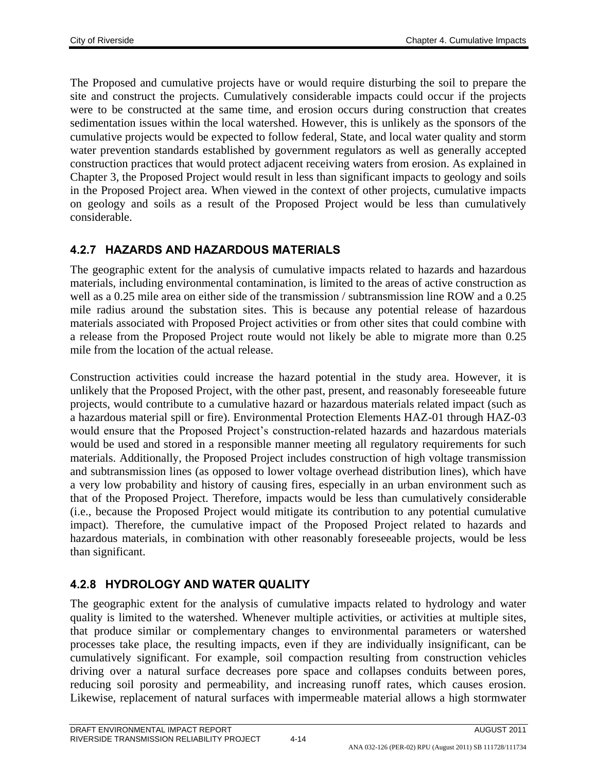The Proposed and cumulative projects have or would require disturbing the soil to prepare the site and construct the projects. Cumulatively considerable impacts could occur if the projects were to be constructed at the same time, and erosion occurs during construction that creates sedimentation issues within the local watershed. However, this is unlikely as the sponsors of the cumulative projects would be expected to follow federal, State, and local water quality and storm water prevention standards established by government regulators as well as generally accepted construction practices that would protect adjacent receiving waters from erosion. As explained in Chapter 3, the Proposed Project would result in less than significant impacts to geology and soils in the Proposed Project area. When viewed in the context of other projects, cumulative impacts on geology and soils as a result of the Proposed Project would be less than cumulatively considerable.

#### **4.2.7 HAZARDS AND HAZARDOUS MATERIALS**

The geographic extent for the analysis of cumulative impacts related to hazards and hazardous materials, including environmental contamination, is limited to the areas of active construction as well as a 0.25 mile area on either side of the transmission / subtransmission line ROW and a 0.25 mile radius around the substation sites. This is because any potential release of hazardous materials associated with Proposed Project activities or from other sites that could combine with a release from the Proposed Project route would not likely be able to migrate more than 0.25 mile from the location of the actual release.

Construction activities could increase the hazard potential in the study area. However, it is unlikely that the Proposed Project, with the other past, present, and reasonably foreseeable future projects, would contribute to a cumulative hazard or hazardous materials related impact (such as a hazardous material spill or fire). Environmental Protection Elements HAZ-01 through HAZ-03 would ensure that the Proposed Project's construction-related hazards and hazardous materials would be used and stored in a responsible manner meeting all regulatory requirements for such materials. Additionally, the Proposed Project includes construction of high voltage transmission and subtransmission lines (as opposed to lower voltage overhead distribution lines), which have a very low probability and history of causing fires, especially in an urban environment such as that of the Proposed Project. Therefore, impacts would be less than cumulatively considerable (i.e., because the Proposed Project would mitigate its contribution to any potential cumulative impact). Therefore, the cumulative impact of the Proposed Project related to hazards and hazardous materials, in combination with other reasonably foreseeable projects, would be less than significant.

#### **4.2.8 HYDROLOGY AND WATER QUALITY**

The geographic extent for the analysis of cumulative impacts related to hydrology and water quality is limited to the watershed. Whenever multiple activities, or activities at multiple sites, that produce similar or complementary changes to environmental parameters or watershed processes take place, the resulting impacts, even if they are individually insignificant, can be cumulatively significant. For example, soil compaction resulting from construction vehicles driving over a natural surface decreases pore space and collapses conduits between pores, reducing soil porosity and permeability, and increasing runoff rates, which causes erosion. Likewise, replacement of natural surfaces with impermeable material allows a high stormwater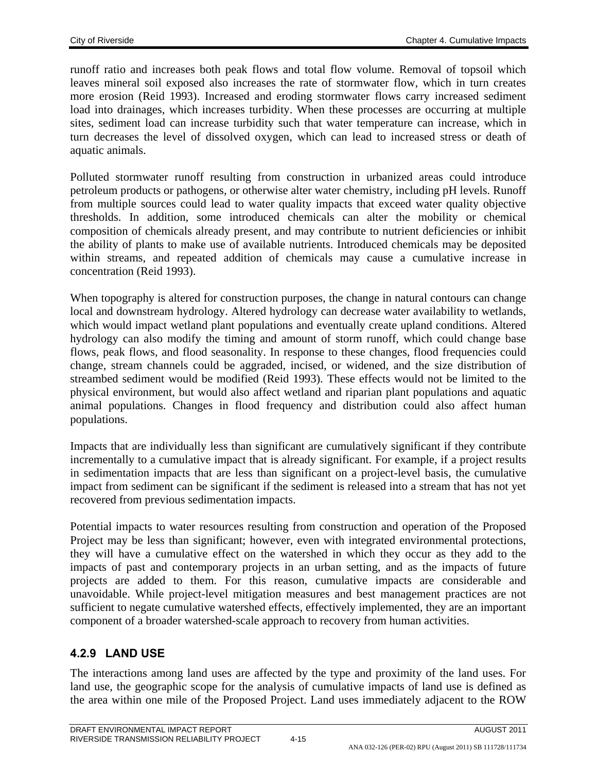runoff ratio and increases both peak flows and total flow volume. Removal of topsoil which leaves mineral soil exposed also increases the rate of stormwater flow, which in turn creates more erosion (Reid 1993). Increased and eroding stormwater flows carry increased sediment load into drainages, which increases turbidity. When these processes are occurring at multiple sites, sediment load can increase turbidity such that water temperature can increase, which in turn decreases the level of dissolved oxygen, which can lead to increased stress or death of aquatic animals.

Polluted stormwater runoff resulting from construction in urbanized areas could introduce petroleum products or pathogens, or otherwise alter water chemistry, including pH levels. Runoff from multiple sources could lead to water quality impacts that exceed water quality objective thresholds. In addition, some introduced chemicals can alter the mobility or chemical composition of chemicals already present, and may contribute to nutrient deficiencies or inhibit the ability of plants to make use of available nutrients. Introduced chemicals may be deposited within streams, and repeated addition of chemicals may cause a cumulative increase in concentration (Reid 1993).

When topography is altered for construction purposes, the change in natural contours can change local and downstream hydrology. Altered hydrology can decrease water availability to wetlands, which would impact wetland plant populations and eventually create upland conditions. Altered hydrology can also modify the timing and amount of storm runoff, which could change base flows, peak flows, and flood seasonality. In response to these changes, flood frequencies could change, stream channels could be aggraded, incised, or widened, and the size distribution of streambed sediment would be modified (Reid 1993). These effects would not be limited to the physical environment, but would also affect wetland and riparian plant populations and aquatic animal populations. Changes in flood frequency and distribution could also affect human populations.

Impacts that are individually less than significant are cumulatively significant if they contribute incrementally to a cumulative impact that is already significant. For example, if a project results in sedimentation impacts that are less than significant on a project-level basis, the cumulative impact from sediment can be significant if the sediment is released into a stream that has not yet recovered from previous sedimentation impacts.

Potential impacts to water resources resulting from construction and operation of the Proposed Project may be less than significant; however, even with integrated environmental protections, they will have a cumulative effect on the watershed in which they occur as they add to the impacts of past and contemporary projects in an urban setting, and as the impacts of future projects are added to them. For this reason, cumulative impacts are considerable and unavoidable. While project-level mitigation measures and best management practices are not sufficient to negate cumulative watershed effects, effectively implemented, they are an important component of a broader watershed-scale approach to recovery from human activities.

#### **4.2.9 LAND USE**

The interactions among land uses are affected by the type and proximity of the land uses. For land use, the geographic scope for the analysis of cumulative impacts of land use is defined as the area within one mile of the Proposed Project. Land uses immediately adjacent to the ROW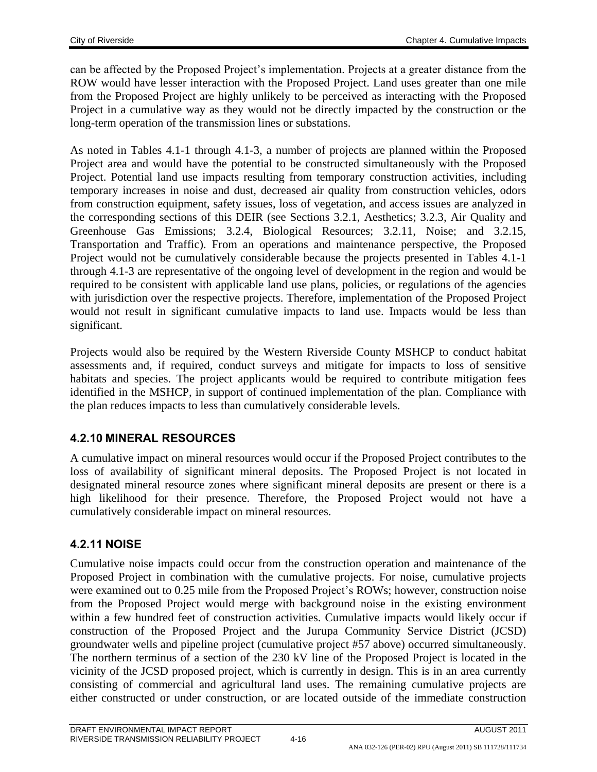can be affected by the Proposed Project's implementation. Projects at a greater distance from the ROW would have lesser interaction with the Proposed Project. Land uses greater than one mile from the Proposed Project are highly unlikely to be perceived as interacting with the Proposed Project in a cumulative way as they would not be directly impacted by the construction or the long-term operation of the transmission lines or substations.

As noted in Tables 4.1-1 through 4.1-3, a number of projects are planned within the Proposed Project area and would have the potential to be constructed simultaneously with the Proposed Project. Potential land use impacts resulting from temporary construction activities, including temporary increases in noise and dust, decreased air quality from construction vehicles, odors from construction equipment, safety issues, loss of vegetation, and access issues are analyzed in the corresponding sections of this DEIR (see Sections 3.2.1, Aesthetics; 3.2.3, Air Quality and Greenhouse Gas Emissions; 3.2.4, Biological Resources; 3.2.11, Noise; and 3.2.15, Transportation and Traffic). From an operations and maintenance perspective, the Proposed Project would not be cumulatively considerable because the projects presented in Tables 4.1-1 through 4.1-3 are representative of the ongoing level of development in the region and would be required to be consistent with applicable land use plans, policies, or regulations of the agencies with jurisdiction over the respective projects. Therefore, implementation of the Proposed Project would not result in significant cumulative impacts to land use. Impacts would be less than significant.

Projects would also be required by the Western Riverside County MSHCP to conduct habitat assessments and, if required, conduct surveys and mitigate for impacts to loss of sensitive habitats and species. The project applicants would be required to contribute mitigation fees identified in the MSHCP, in support of continued implementation of the plan. Compliance with the plan reduces impacts to less than cumulatively considerable levels.

#### **4.2.10 MINERAL RESOURCES**

A cumulative impact on mineral resources would occur if the Proposed Project contributes to the loss of availability of significant mineral deposits. The Proposed Project is not located in designated mineral resource zones where significant mineral deposits are present or there is a high likelihood for their presence. Therefore, the Proposed Project would not have a cumulatively considerable impact on mineral resources.

#### **4.2.11 NOISE**

Cumulative noise impacts could occur from the construction operation and maintenance of the Proposed Project in combination with the cumulative projects. For noise, cumulative projects were examined out to 0.25 mile from the Proposed Project's ROWs; however, construction noise from the Proposed Project would merge with background noise in the existing environment within a few hundred feet of construction activities. Cumulative impacts would likely occur if construction of the Proposed Project and the Jurupa Community Service District (JCSD) groundwater wells and pipeline project (cumulative project #57 above) occurred simultaneously. The northern terminus of a section of the 230 kV line of the Proposed Project is located in the vicinity of the JCSD proposed project, which is currently in design. This is in an area currently consisting of commercial and agricultural land uses. The remaining cumulative projects are either constructed or under construction, or are located outside of the immediate construction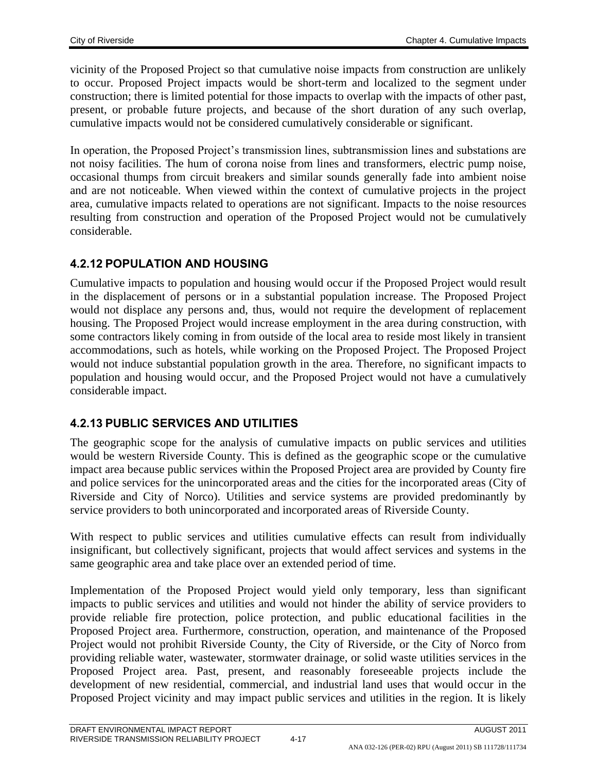vicinity of the Proposed Project so that cumulative noise impacts from construction are unlikely to occur. Proposed Project impacts would be short-term and localized to the segment under construction; there is limited potential for those impacts to overlap with the impacts of other past, present, or probable future projects, and because of the short duration of any such overlap, cumulative impacts would not be considered cumulatively considerable or significant.

In operation, the Proposed Project's transmission lines, subtransmission lines and substations are not noisy facilities. The hum of corona noise from lines and transformers, electric pump noise, occasional thumps from circuit breakers and similar sounds generally fade into ambient noise and are not noticeable. When viewed within the context of cumulative projects in the project area, cumulative impacts related to operations are not significant. Impacts to the noise resources resulting from construction and operation of the Proposed Project would not be cumulatively considerable.

#### **4.2.12 POPULATION AND HOUSING**

Cumulative impacts to population and housing would occur if the Proposed Project would result in the displacement of persons or in a substantial population increase. The Proposed Project would not displace any persons and, thus, would not require the development of replacement housing. The Proposed Project would increase employment in the area during construction, with some contractors likely coming in from outside of the local area to reside most likely in transient accommodations, such as hotels, while working on the Proposed Project. The Proposed Project would not induce substantial population growth in the area. Therefore, no significant impacts to population and housing would occur, and the Proposed Project would not have a cumulatively considerable impact.

#### **4.2.13 PUBLIC SERVICES AND UTILITIES**

The geographic scope for the analysis of cumulative impacts on public services and utilities would be western Riverside County. This is defined as the geographic scope or the cumulative impact area because public services within the Proposed Project area are provided by County fire and police services for the unincorporated areas and the cities for the incorporated areas (City of Riverside and City of Norco). Utilities and service systems are provided predominantly by service providers to both unincorporated and incorporated areas of Riverside County.

With respect to public services and utilities cumulative effects can result from individually insignificant, but collectively significant, projects that would affect services and systems in the same geographic area and take place over an extended period of time.

Implementation of the Proposed Project would yield only temporary, less than significant impacts to public services and utilities and would not hinder the ability of service providers to provide reliable fire protection, police protection, and public educational facilities in the Proposed Project area. Furthermore, construction, operation, and maintenance of the Proposed Project would not prohibit Riverside County, the City of Riverside, or the City of Norco from providing reliable water, wastewater, stormwater drainage, or solid waste utilities services in the Proposed Project area. Past, present, and reasonably foreseeable projects include the development of new residential, commercial, and industrial land uses that would occur in the Proposed Project vicinity and may impact public services and utilities in the region. It is likely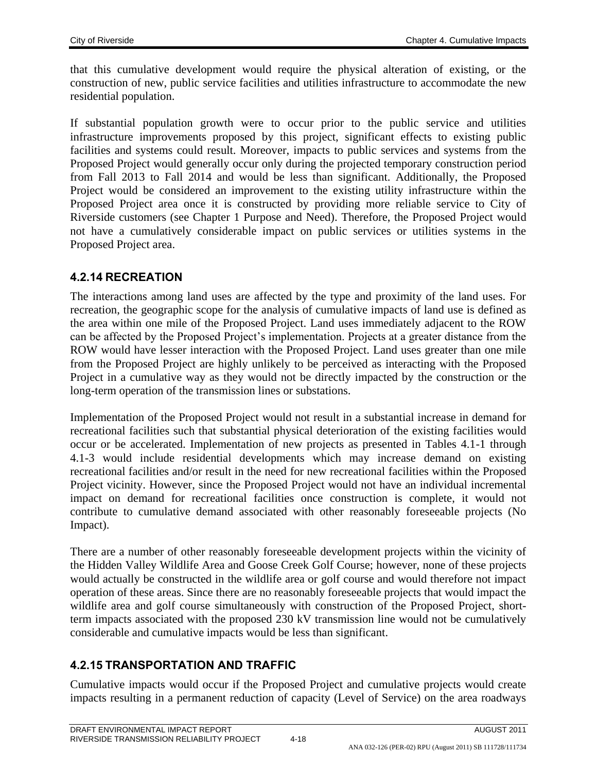that this cumulative development would require the physical alteration of existing, or the construction of new, public service facilities and utilities infrastructure to accommodate the new residential population.

If substantial population growth were to occur prior to the public service and utilities infrastructure improvements proposed by this project, significant effects to existing public facilities and systems could result. Moreover, impacts to public services and systems from the Proposed Project would generally occur only during the projected temporary construction period from Fall 2013 to Fall 2014 and would be less than significant. Additionally, the Proposed Project would be considered an improvement to the existing utility infrastructure within the Proposed Project area once it is constructed by providing more reliable service to City of Riverside customers (see Chapter 1 Purpose and Need). Therefore, the Proposed Project would not have a cumulatively considerable impact on public services or utilities systems in the Proposed Project area.

#### **4.2.14 RECREATION**

The interactions among land uses are affected by the type and proximity of the land uses. For recreation, the geographic scope for the analysis of cumulative impacts of land use is defined as the area within one mile of the Proposed Project. Land uses immediately adjacent to the ROW can be affected by the Proposed Project's implementation. Projects at a greater distance from the ROW would have lesser interaction with the Proposed Project. Land uses greater than one mile from the Proposed Project are highly unlikely to be perceived as interacting with the Proposed Project in a cumulative way as they would not be directly impacted by the construction or the long-term operation of the transmission lines or substations.

Implementation of the Proposed Project would not result in a substantial increase in demand for recreational facilities such that substantial physical deterioration of the existing facilities would occur or be accelerated. Implementation of new projects as presented in Tables 4.1-1 through 4.1-3 would include residential developments which may increase demand on existing recreational facilities and/or result in the need for new recreational facilities within the Proposed Project vicinity. However, since the Proposed Project would not have an individual incremental impact on demand for recreational facilities once construction is complete, it would not contribute to cumulative demand associated with other reasonably foreseeable projects (No Impact).

There are a number of other reasonably foreseeable development projects within the vicinity of the Hidden Valley Wildlife Area and Goose Creek Golf Course; however, none of these projects would actually be constructed in the wildlife area or golf course and would therefore not impact operation of these areas. Since there are no reasonably foreseeable projects that would impact the wildlife area and golf course simultaneously with construction of the Proposed Project, shortterm impacts associated with the proposed 230 kV transmission line would not be cumulatively considerable and cumulative impacts would be less than significant.

#### **4.2.15 TRANSPORTATION AND TRAFFIC**

Cumulative impacts would occur if the Proposed Project and cumulative projects would create impacts resulting in a permanent reduction of capacity (Level of Service) on the area roadways